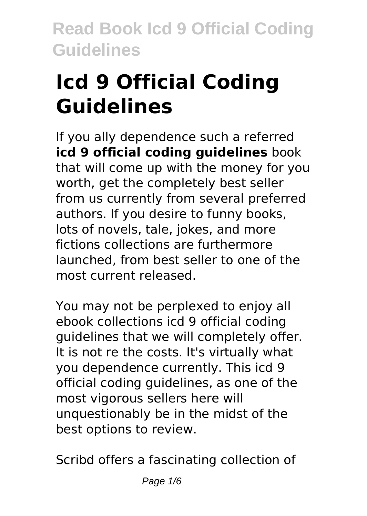# **Icd 9 Official Coding Guidelines**

If you ally dependence such a referred **icd 9 official coding guidelines** book that will come up with the money for you worth, get the completely best seller from us currently from several preferred authors. If you desire to funny books, lots of novels, tale, jokes, and more fictions collections are furthermore launched, from best seller to one of the most current released.

You may not be perplexed to enjoy all ebook collections icd 9 official coding guidelines that we will completely offer. It is not re the costs. It's virtually what you dependence currently. This icd 9 official coding guidelines, as one of the most vigorous sellers here will unquestionably be in the midst of the best options to review.

Scribd offers a fascinating collection of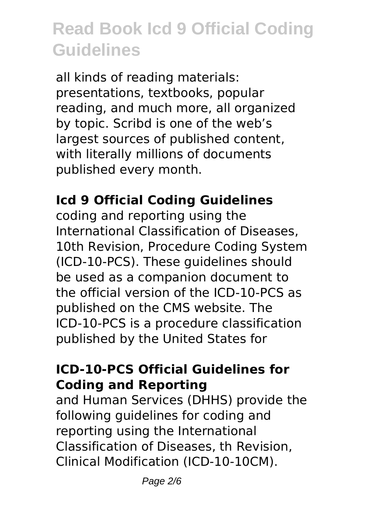all kinds of reading materials: presentations, textbooks, popular reading, and much more, all organized by topic. Scribd is one of the web's largest sources of published content, with literally millions of documents published every month.

### **Icd 9 Official Coding Guidelines**

coding and reporting using the International Classification of Diseases, 10th Revision, Procedure Coding System (ICD-10-PCS). These guidelines should be used as a companion document to the official version of the ICD-10-PCS as published on the CMS website. The ICD-10-PCS is a procedure classification published by the United States for

### **ICD-10-PCS Official Guidelines for Coding and Reporting**

and Human Services (DHHS) provide the following guidelines for coding and reporting using the International Classification of Diseases, th Revision, Clinical Modification (ICD-10-10CM).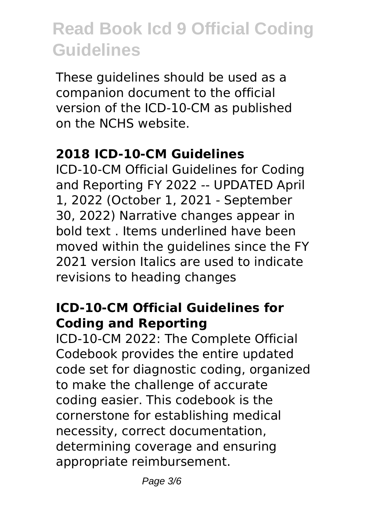These guidelines should be used as a companion document to the official version of the ICD-10-CM as published on the NCHS website.

#### **2018 ICD-10-CM Guidelines**

ICD-10-CM Official Guidelines for Coding and Reporting FY 2022 -- UPDATED April 1, 2022 (October 1, 2021 - September 30, 2022) Narrative changes appear in bold text . Items underlined have been moved within the guidelines since the FY 2021 version Italics are used to indicate revisions to heading changes

#### **ICD-10-CM Official Guidelines for Coding and Reporting**

ICD-10-CM 2022: The Complete Official Codebook provides the entire updated code set for diagnostic coding, organized to make the challenge of accurate coding easier. This codebook is the cornerstone for establishing medical necessity, correct documentation, determining coverage and ensuring appropriate reimbursement.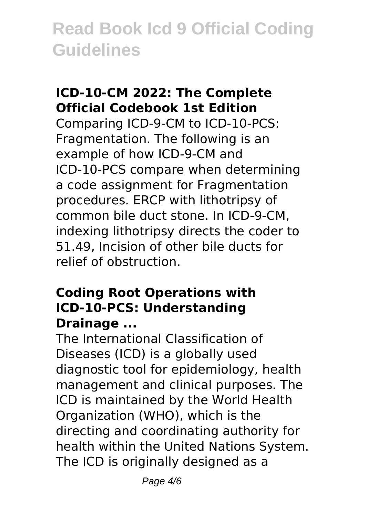### **ICD-10-CM 2022: The Complete Official Codebook 1st Edition**

Comparing ICD-9-CM to ICD-10-PCS: Fragmentation. The following is an example of how ICD-9-CM and ICD-10-PCS compare when determining a code assignment for Fragmentation procedures. ERCP with lithotripsy of common bile duct stone. In ICD-9-CM, indexing lithotripsy directs the coder to 51.49, Incision of other bile ducts for relief of obstruction.

#### **Coding Root Operations with ICD-10-PCS: Understanding Drainage ...**

The International Classification of Diseases (ICD) is a globally used diagnostic tool for epidemiology, health management and clinical purposes. The ICD is maintained by the World Health Organization (WHO), which is the directing and coordinating authority for health within the United Nations System. The ICD is originally designed as a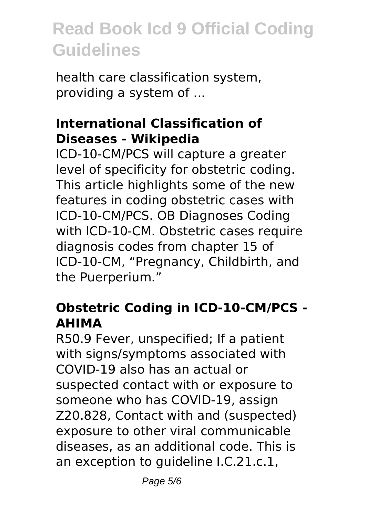health care classification system, providing a system of ...

#### **International Classification of Diseases - Wikipedia**

ICD-10-CM/PCS will capture a greater level of specificity for obstetric coding. This article highlights some of the new features in coding obstetric cases with ICD-10-CM/PCS. OB Diagnoses Coding with ICD-10-CM. Obstetric cases require diagnosis codes from chapter 15 of ICD-10-CM, "Pregnancy, Childbirth, and the Puerperium."

### **Obstetric Coding in ICD-10-CM/PCS - AHIMA**

R50.9 Fever, unspecified; If a patient with signs/symptoms associated with COVID-19 also has an actual or suspected contact with or exposure to someone who has COVID-19, assign Z20.828, Contact with and (suspected) exposure to other viral communicable diseases, as an additional code. This is an exception to guideline I.C.21.c.1,